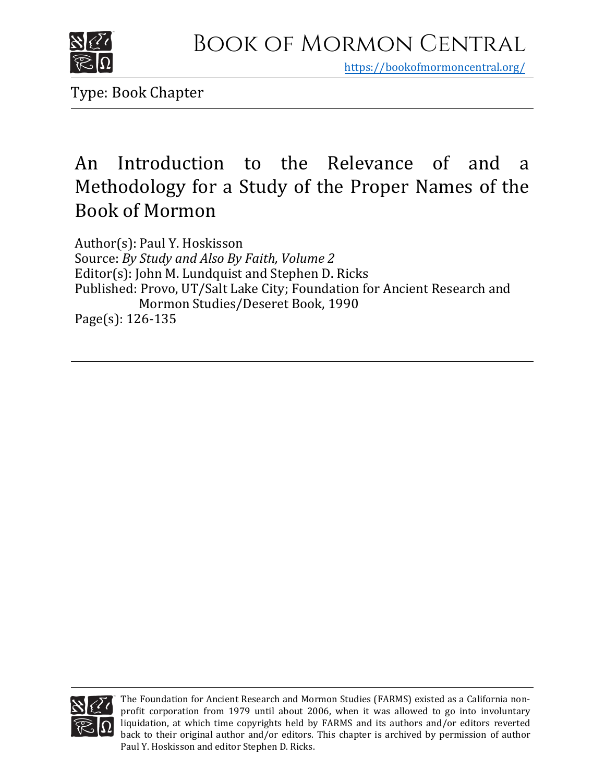

https[://bookofmormoncentral.org/](https://bookofmormoncentral.org/)

Type: Book Chapter

## An Introduction to the Relevance of and a Methodology for a Study of the Proper Names of the Book of Mormon

Author(s): Paul Y. Hoskisson Source: *By Study and Also By Faith, Volume 2* Editor(s): John M. Lundquist and Stephen D. Ricks Published: Provo, UT/Salt Lake City; Foundation for Ancient Research and Mormon Studies/Deseret Book, 1990 Page(s): 126-135



The Foundation for Ancient Research and Mormon Studies (FARMS) existed as a California nonprofit corporation from 1979 until about 2006, when it was allowed to go into involuntary liquidation, at which time copyrights held by FARMS and its authors and/or editors reverted back to their original author and/or editors. This chapter is archived by permission of author Paul Y. Hoskisson and editor Stephen D. Ricks.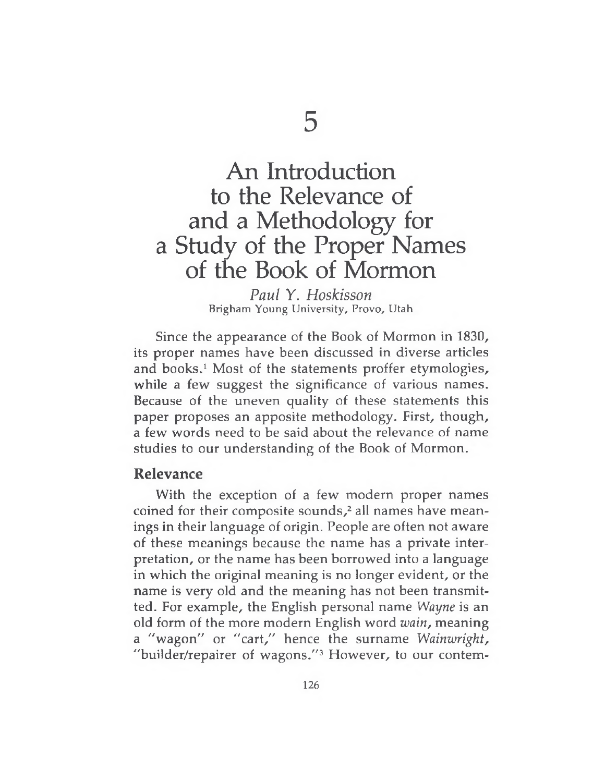# An Introduction to the Relevance of and a Methodology for a Study of the Proper Names of the Book of Mormon

*Paul* Y. *Hoskisson* Brigham Young University, Provo, Utah

Since the appearance of the Book of Mormon in 1830, its proper names have been discussed in diverse articles and books.<sup>1</sup> Most of the statements proffer etymologies, while a few suggest the significance of various names. Because of the uneven quality of these statements this paper proposes an apposite methodology. First, though, a few words need to be said about the relevance of name studies to our understanding of the Book of Mormon.

### **Relevance**

With the exception of a few modern proper names coined for their composite sounds,<sup>2</sup> all names have meanings in their language of origin. People are often not aware of these meanings because the name has a private interpretation, or the name has been borrowed into a language in which the original meaning is no longer evident, or the name is very old and the meaning has not been transmitted. For example, the English personal name *Wayne* is an old form of the more modern English word *wain,* meaning a "wagon" or "cart," hence the surname *Wainwright,* "builder/repairer of wagons."<sup>3</sup> However, to our contem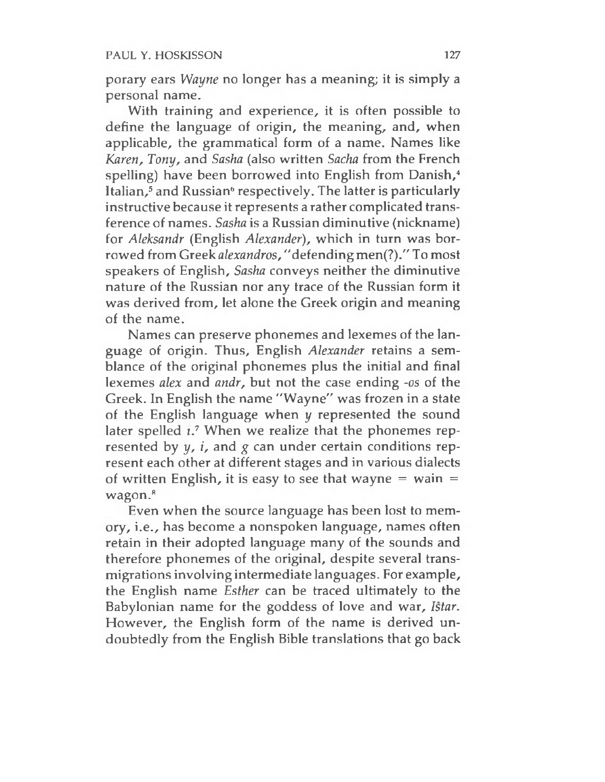porary ears *Wayne* no longer has a meaning; it is simply a personal name.

With training and experience, it is often possible to define the language of origin, the meaning, and, when applicable, the grammatical form of a name. Names like *Karen, Tony,* and *Sasha* (also written *Sacha* from the French spelling) have been borrowed into English from Danish,<sup>4</sup> Italian,<sup>5</sup> and Russian<sup>6</sup> respectively. The latter is particularly instructive because it represents a rather complicated transference of names. *Sasha* is a Russian diminutive (nickname) for *Aleksandr* (English *Alexander),* which in turn was borrowed from Greek *alexandros,*"defending men(?)." To most speakers of English, *Sasha* conveys neither the diminutive nature of the Russian nor any trace of the Russian form it was derived from, let alone the Greek origin and meaning of the name.

Names can preserve phonemes and lexemes of the language of origin. Thus, English *Alexander* retains a semblance of the original phonemes plus the initial and final lexemes *alex* and *andr,* but not the case ending -os of the Greek. In English the name "Wayne" was frozen in a state of the English language when *y* represented the sound later spelled  $i$ .<sup>7</sup> When we realize that the phonemes represented by *y, i,* and *g* can under certain conditions represent each other at different stages and in various dialects of written English, it is easy to see that wayne  $=$  wain  $=$ wagon.<sup>8</sup>

Even when the source language has been lost to memory, i.e., has become a nonspoken language, names often retain in their adopted language many of the sounds and therefore phonemes of the original, despite several transmigrations involving intermediate languages. For example, the English name *Esther* can be traced ultimately to the Babylonian name for the goddess of love and war, *Istar.* However, the English form of the name is derived undoubtedly from the English Bible translations that go back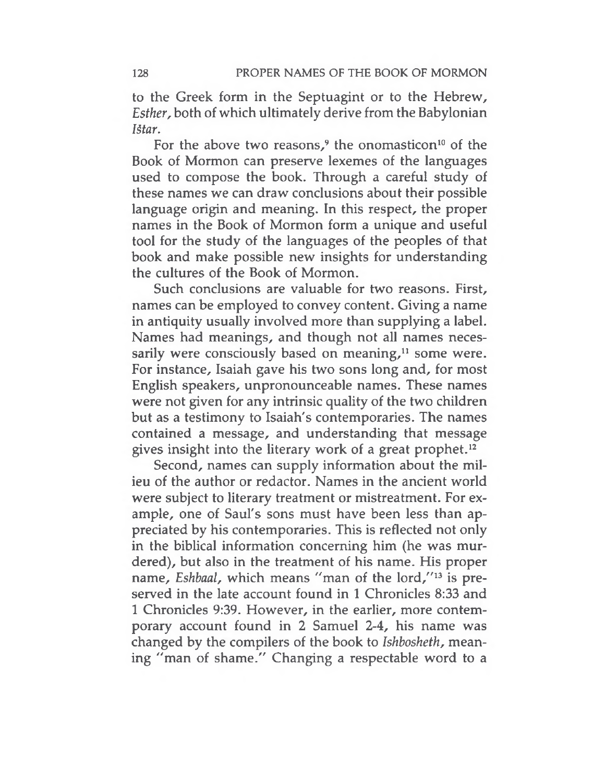to the Greek form in the Septuagint or to the Hebrew, *Esther,* both of which ultimately derive from the Babylonian *IStar.*

For the above two reasons,<sup>9</sup> the onomasticon<sup>10</sup> of the Book of Mormon can preserve lexemes of the languages used to compose the book. Through a careful study of these names we can draw conclusions about their possible language origin and meaning. In this respect, the proper names in the Book of Mormon form a unique and useful tool for the study of the languages of the peoples of that book and make possible new insights for understanding the cultures of the Book of Mormon.

Such conclusions are valuable for two reasons. First, names can be employed to convey content. Giving a name in antiquity usually involved more than supplying a label. Names had meanings, and though not all names necessarily were consciously based on meaning, $11$  some were. For instance, Isaiah gave his two sons long and, for most English speakers, unpronounceable names. These names were not given for any intrinsic quality of the two children but as a testimony to Isaiah's contemporaries. The names contained a message, and understanding that message gives insight into the literary work of a great prophet.<sup>12</sup>

Second, names can supply information about the milieu of the author or redactor. Names in the ancient world were subject to literary treatment or mistreatment. For example, one of Saul's sons must have been less than appreciated by his contemporaries. This is reflected not only in the biblical information concerning him (he was murdered), but also in the treatment of his name. His proper name, *Eshbaal*, which means "man of the lord,"<sup>13</sup> is preserved in the late account found in <sup>1</sup> Chronicles 8:33 and <sup>1</sup> Chronicles 9:39. However, in the earlier, more contemporary account found in 2 Samuel 2-4, his name was changed by the compilers of the book to *Ishbosheth,* meaning "man of shame." Changing a respectable word to a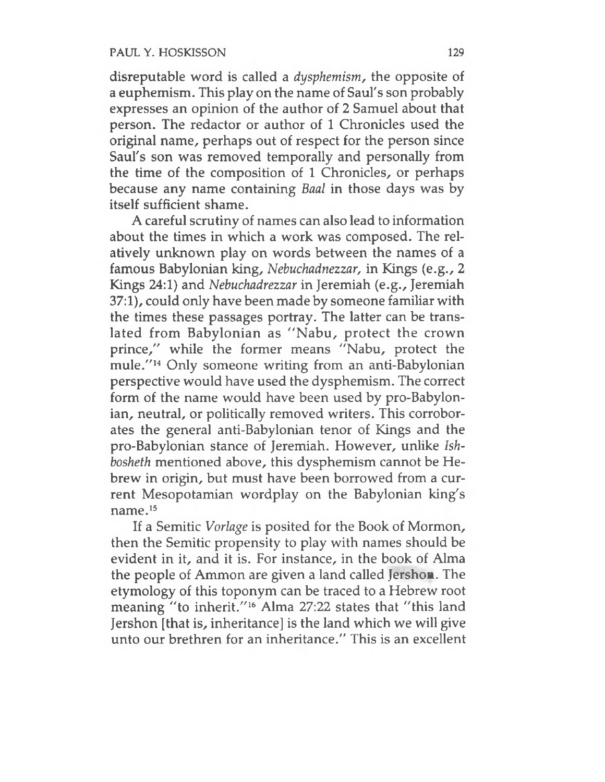disreputable word is called a *dysphemism,* the opposite of a euphemism. This play on the name of Saul's son probably expresses an opinion of the author of 2 Samuel about that person. The redactor or author of 1 Chronicles used the original name, perhaps out of respect for the person since Saul's son was removed temporally and personally from the time of the composition of 1 Chronicles, or perhaps because any name containing *Baal* in those days was by itself sufficient shame.

A careful scrutiny of names can also lead to information about the times in which a work was composed. The relatively unknown play on words between the names of a famous Babylonian king, *Nebuchadnezzar,* in Kings (e.g., 2 Kings 24:1) and *Nebuchadrezzar* in Jeremiah (e.g., Jeremiah 37:1), could only have been made by someone familiar with the times these passages portray. The latter can be translated from Babylonian as "Nabu, protect the crown prince," while the former means "Nabu, protect the mule."<sup>14</sup> Only someone writing from an anti-Babylonian perspective would have used the dysphemism. The correct form of the name would have been used by pro-Babylonian, neutral, or politically removed writers. This corroborates the general anti-Babylonian tenor of Kings and the pro-Babylonian stance of Jeremiah. However, unlike *Ishbosheth* mentioned above, this dysphemism cannot be Hebrew in origin, but must have been borrowed from a current Mesopotamian wordplay on the Babylonian king's name.<sup>15</sup>

If a Semitic *Vorlage* is posited for the Book of Mormon, then the Semitic propensity to play with names should be evident in it, and it is. For instance, in the book of Alma the people of Ammon are given a land called Jershon. The etymology of this toponym can be traced to a Hebrew root meaning "to inherit."<sup>16</sup> Alma 27:22 states that "this land Jershon [that is, inheritance] is the land which we will give unto our brethren for an inheritance." This is an excellent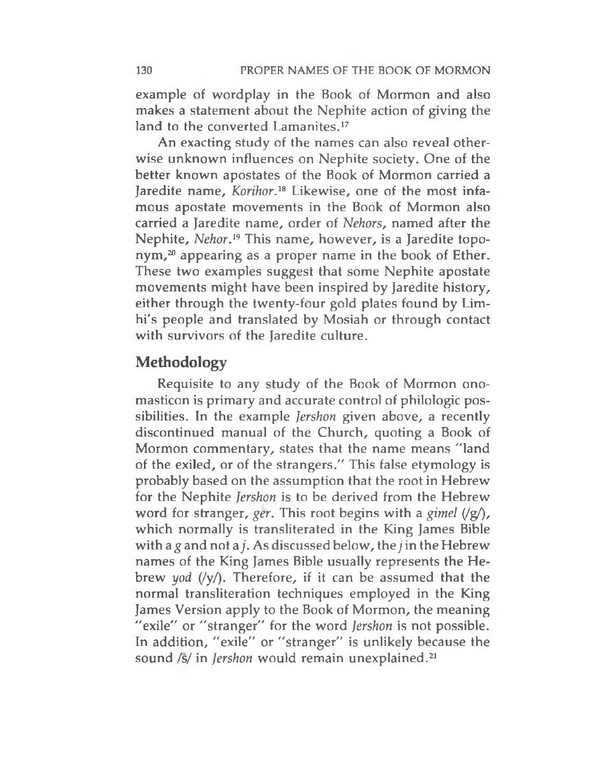example of wordplay in the Book of Mormon and also makes a statement about the Nephite action of giving the land to the converted Lamanites.<sup>17</sup>

An exacting study of the names can also reveal otherwise unknown influences on Nephite society. One of the better known apostates of the Book of Mormon carried a Jaredite name, *Korihor.<sup>18</sup>* Likewise, one of the most infamous apostate movements in the Book of Mormon also carried a Jaredite name, order of *Nehors,* named after the Nephite, *Nehor.<sup>19</sup>* This name, however, is a Jaredite topo $nym<sup>20</sup>$  appearing as a proper name in the book of Ether. These two examples suggest that some Nephite apostate movements might have been inspired by Jaredite history, either through the twenty-four gold plates found by Limhi's people and translated by Mosiah or through contact with survivors of the Jaredite culture.

## **Methodology**

Requisite to any study of the Book of Mormon onomasticon is primary and accurate control of philologic possibilities. In the example *Jershon* given above, a recently discontinued manual of the Church, quoting a Book of Mormon commentary, states that the name means "land of the exiled, or of the strangers." This false etymology is probably based on the assumption that the root in Hebrew for the Nephite *Jershon* is to be derived from the Hebrew word for stranger, *ger*. This root begins with a *gimel*  $(\varphi)$ , which normally is transliterated in the King James Bible with a  $g$  and not a  $j$ . As discussed below, the  $j$  in the Hebrew names of the King James Bible usually represents the Hebrew *yod* (/y/). Therefore, if it can be assumed that the normal transliteration techniques employed in the King James Version apply to the Book of Mormon, the meaning "exile" or "stranger" for the word *Jershon* is not possible. In addition, "exile" or "stranger" is unlikely because the sound /s/ in *Jershon* would remain unexplained.<sup>21</sup>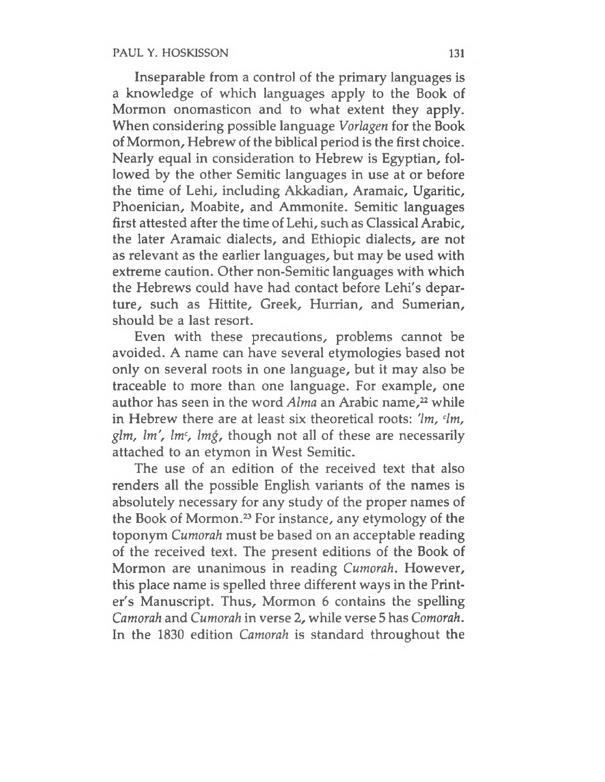Inseparable from a control of the primary languages is a knowledge of which languages apply to the Book of Mormon onomasticon and to what extent they apply. When considering possible language *Vorlagen* for the Book of Mormon, Hebrew of the biblical period is the first choice. Nearly equal in consideration to Hebrew is Egyptian, followed by the other Semitic languages in use at or before the time of Lehi, including Akkadian, Aramaic, Ugaritic, Phoenician, Moabite, and Ammonite. Semitic languages first attested after the time of Lehi, such as Classical Arabic, the later Aramaic dialects, and Ethiopic dialects, are not as relevant as the earlier languages, but may be used with extreme caution. Other non-Semitic languages with which the Hebrews could have had contact before Lehi's departure, such as Hittite, Greek, Hurrian, and Sumerian, should be a last resort.

Even with these precautions, problems cannot be avoided. A name can have several etymologies based not only on several roots in one language, but it may also be traceable to more than one language. For example, one author has seen in the word *Alma* an Arabic name,<sup>22</sup> while in Hebrew there are at least six theoretical roots: *'Im, <sup>c</sup>lm, glm, Im', lmc, Img,* though not all of these are necessarily attached to an etymon in West Semitic.

The use of an edition of the received text that also renders all the possible English variants of the names is absolutely necessary for any study of the proper names of the Book of Mormon.<sup>23</sup> For instance, any etymology of the toponym *Cumorah* must be based on an acceptable reading of the received text. The present editions of the Book of Mormon are unanimous in reading *Cumorah.* However, this place name is spelled three different ways in the Printer's Manuscript. Thus, Mormon 6 contains the spelling *Camorah* and *Cumorah* in verse 2, while verse 5 has *Comorah.* In the 1830 edition *Camorah* is standard throughout the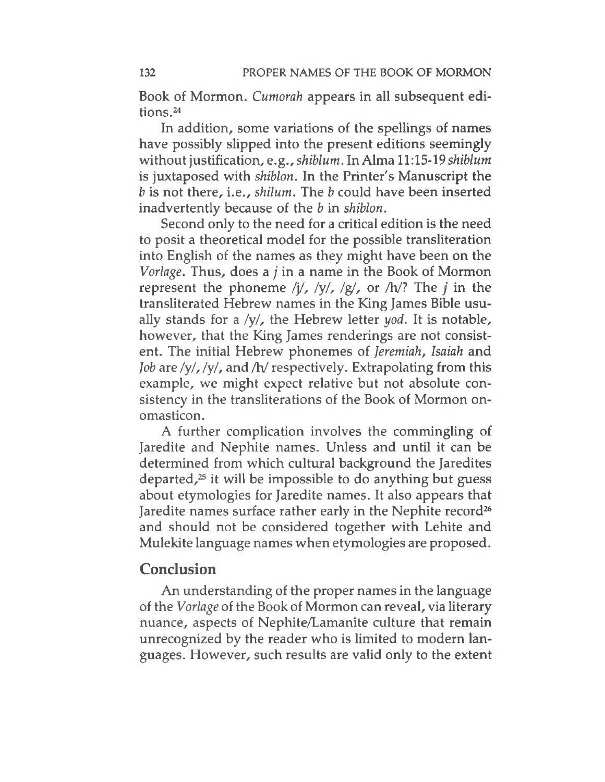Book of Mormon. *Cumorah* appears in all subsequent editions.<sup>24</sup>

In addition, some variations of the spellings of names have possibly slipped into the present editions seemingly without justification, *e.g., shiblum*. In Alma 11:15-19 *shiblum* is juxtaposed with *shiblon.* In the Printer's Manuscript the *b* is not there, i.e., *shilum.* The *b* could have been inserted inadvertently because of the *b* in *shiblon.*

Second only to the need for a critical edition is the need to posit a theoretical model for the possible transliteration into English of the names as they might have been on the *Vorlage.* Thus, does <sup>a</sup> *j* in <sup>a</sup> name in the Book of Mormon represent the phoneme /j/, /y/, /g/, or /h/? The *j* in the transliterated Hebrew names in the King James Bible usually stands for a /y/, the Hebrew letter *yod.* It is notable, however, that the King James renderings are not consistent. The initial Hebrew phonemes of *Jeremiah, Isaiah* and *Job* are /y/, /y/, and /h/ respectively. Extrapolating from this example, we might expect relative but not absolute consistency in the transliterations of the Book of Mormon onomasticon.

A further complication involves the commingling of Jaredite and Nephite names. Unless and until it can be determined from which cultural background the Jaredites departed, $25$  it will be impossible to do anything but guess about etymologies for Jaredite names. It also appears that Jaredite names surface rather early in the Nephite record<sup>26</sup> and should not be considered together with Lehite and Mulekite language names when etymologies are proposed.

## **Conclusion**

An understanding of the proper names in the language of the *Vorlage* of the Book of Mormon can reveal, via literary nuance, aspects of Nephite/Lamanite culture that remain unrecognized by the reader who is limited to modern languages. However, such results are valid only to the extent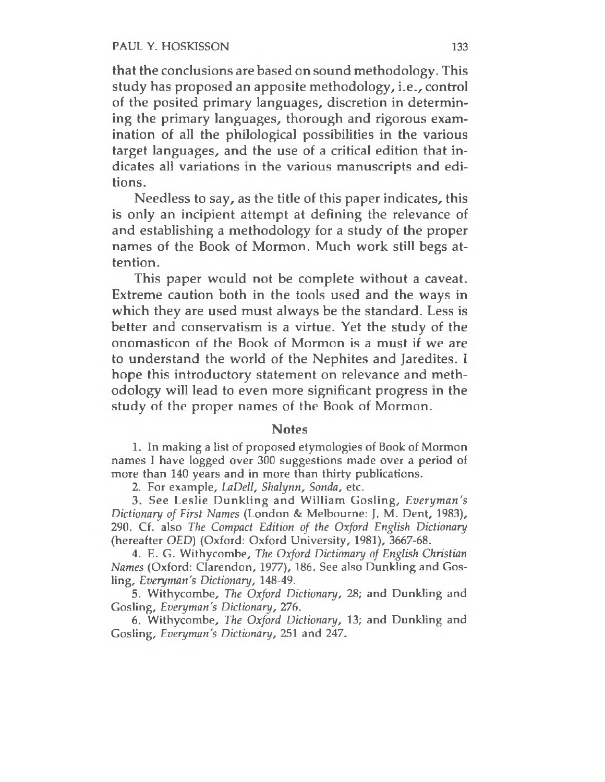#### PAUL Y. HOSKISSON 133

that the conclusions are based on sound methodology. This study has proposed an apposite methodology, i.e., control of the posited primary languages, discretion in determining the primary languages, thorough and rigorous examination of all the philological possibilities in the various target languages, and the use of a critical edition that indicates all variations in the various manuscripts and editions.

Needless to say, as the title of this paper indicates, this is only an incipient attempt at defining the relevance of and establishing a methodology for a study of the proper names of the Book of Mormon. Much work still begs attention.

This paper would not be complete without a caveat. Extreme caution both in the tools used and the ways in which they are used must always be the standard. Less is better and conservatism is a virtue. Yet the study of the onomasticon of the Book of Mormon is a must if we are to understand the world of the Nephites and Jaredites. I hope this introductory statement on relevance and methodology will lead to even more significant progress in the study of the proper names of the Book of Mormon.

#### **Notes**

1. In making a list of proposed etymologies of Book of Mormon names <sup>I</sup> have logged over 300 suggestions made over a period of more than 140 years and in more than thirty publications.

2. For example, *LaDell, Shalynn, Sonda,* etc.

3. See Leslie Dunkling and William Gosling, *Everyman's Dictionary of First Names* (London & Melbourne: J. M. Dent, 1983), 290. Cf. also *The Compact Edition of the Oxford English Dictionary* (hereafter *OED)* (Oxford: Oxford University, 1981), 3667-68.

4. E. G. Withycombe, *The Oxford Dictionary of English Christian Names* (Oxford: Clarendon, 1977), 186. See also Dunkling and Gosling, *Everyman's Dictionary,* 148-49.

5. Withycombe, *The Oxford Dictionary,* 28; and Dunkling and Gosling, *Everyman's Dictionary, 276.*

6. Withycombe, *The Oxford Dictionary,* 13; and Dunkling and Gosling, *Everyman's Dictionary,* 251 and 247.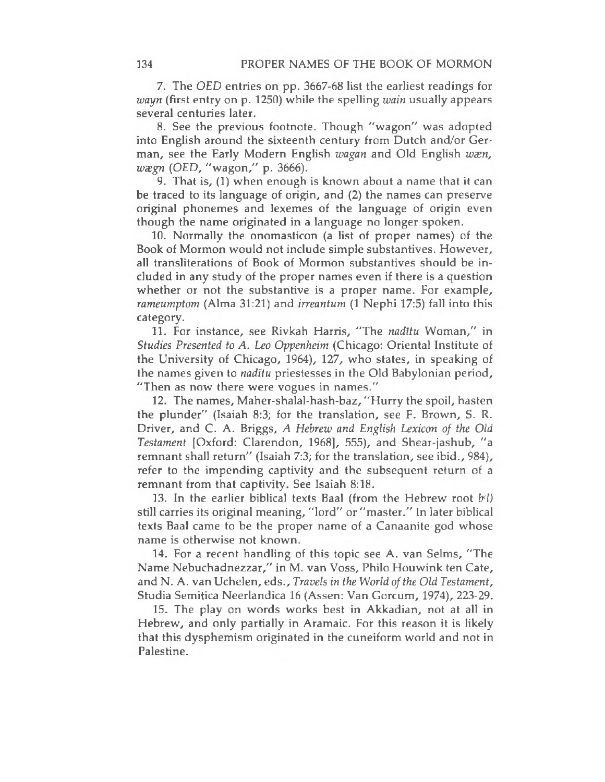7. The *OED* entries on pp. 3667-68 list the earliest readings for *wayn* (first entry on p. 1250) while the spelling *wain* usually appears several centuries later.

8. See the previous footnote. Though "wagon" was adopted into English around the sixteenth century from Dutch and/or German, see the Early Modern English *wagan* and Old English *wæn*, *weegn (OED,* "wagon," p. 3666).

9. That is, (1) when enough is known about a name that it can be traced to its language of origin, and (2) the names can preserve original phonemes and lexemes of the language of origin even though the name originated in a language no longer spoken.

10. Normally the onomasticon (a list of proper names) of the Book of Mormon would not include simple substantives. However, all transliterations of Book of Mormon substantives should be included in any study of the proper names even if there is a question whether or not the substantive is a proper name. For example, *rameumptom* (Alma 31:21) and *irreantum* (1 Nephi 17:5) fall into this category.

11. For instance, see Rivkah Harris, "The *nadltu* Woman," in *Studies Presented to A. Leo Oppenheim* (Chicago: Oriental Institute of the University of Chicago, 1964), 127, who states, in speaking of the names given to *nadltu* priestesses in the Old Babylonian period, "Then as now there were vogues in names."

12. The names, Maher-shalal-hash-baz, "Hurry the spoil, hasten the plunder" (Isaiah 8:3; for the translation, see F. Brown, S. R. Driver, and C. A. Briggs, *A Hebrew and English Lexicon of the Old Testament* [Oxford: Clarendon, 1968], 555), and Shear-jashub, "a remnant shall return" (Isaiah 7:3; for the translation, see ibid., 984), refer to the impending captivity and the subsequent return of a remnant from that captivity. See Isaiah 8:18.

13. In the earlier biblical texts Baal (from the Hebrew root *frl)* still carries its original meaning, "lord" or "master." In later biblical texts Baal came to be the proper name of a Canaanite god whose name is otherwise not known.

14. For a recent handling of this topic see A. van Selms, "The Name Nebuchadnezzar," in M. van Voss, Philo Houwink ten Cate, and N. A. van Uchelen, eds., *Travels in the World ofthe Old Testament,* Studia Semitica Neerlandica 16 (Assen: Van Gorcum, 1974), 223-29.

15. The play on words works best in Akkadian, not at all in Hebrew, and only partially in Aramaic. For this reason it is likely that this dysphemism originated in the cuneiform world and not in Palestine.